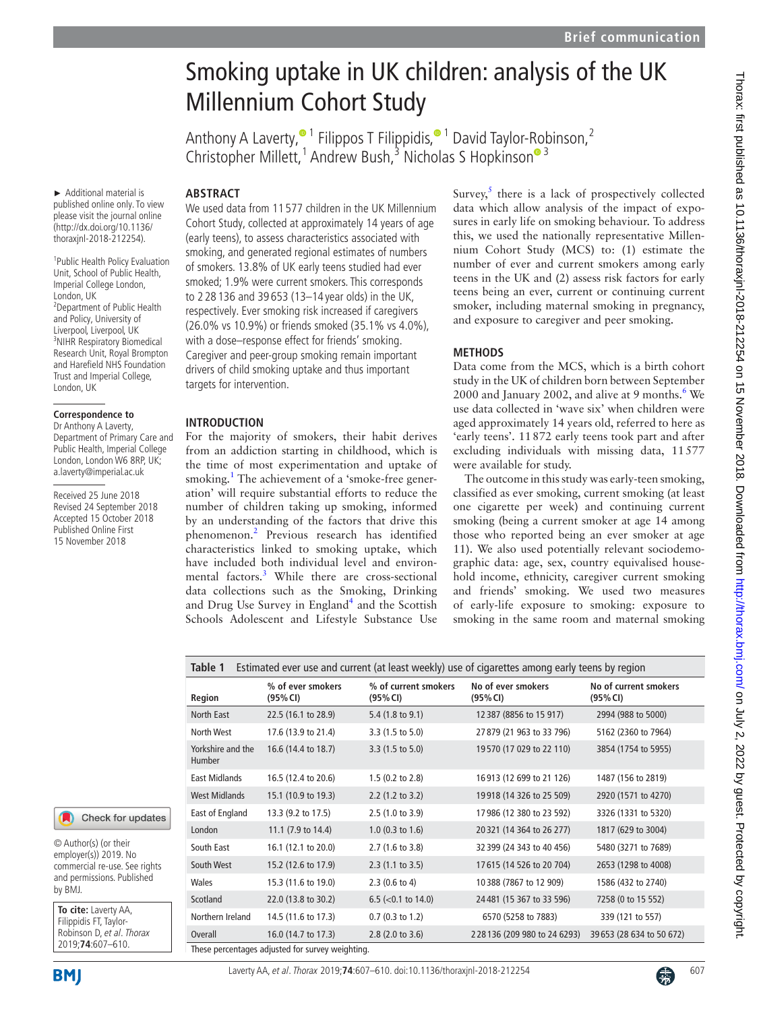# Smoking uptake in UK children: analysis of the UK Millennium Cohort Study

Anthony A Laverty[,](http://orcid.org/0000-0002-2101-2559)<sup>® 1</sup> Filippos T Filippidis,<sup>® 1</sup> David Taylor-Robinson,<sup>2</sup> Christopher Millett,<sup>[1](http://orcid.org/0000-0003-1318-8439)</sup> A[n](http://orcid.org/0000-0003-3235-0454)drew Bush,<sup>3</sup> Nicholas S Hopkinson<sup>® 3</sup>

► Additional material is published online only. To view please visit the journal online (http://dx.doi.org/10.1136/ thoraxjnl-2018-212254).

1 Public Health Policy Evaluation Unit, School of Public Health, Imperial College London, London, UK <sup>2</sup> Department of Public Health and Policy, University of Liverpool, Liverpool, UK 3 NIHR Respiratory Biomedical Research Unit, Royal Brompton and Harefield NHS Foundation Trust and Imperial College, London, UK

#### **Correspondence to**

Dr Anthony A Laverty, Department of Primary Care and Public Health, Imperial College London, London W6 8RP, UK; a.laverty@imperial.ac.uk

Received 25 June 2018 Revised 24 September 2018 Accepted 15 October 2018 Published Online First 15 November 2018

## **ARSTRACT**

We used data from 11 577 children in the UK Millennium Cohort Study, collected at approximately 14 years of age (early teens), to assess characteristics associated with smoking, and generated regional estimates of numbers of smokers. 13.8% of UK early teens studied had ever smoked; 1.9% were current smokers. This corresponds to 2 28 136 and 39 653 (13–14 year olds) in the UK, respectively. Ever smoking risk increased if caregivers (26.0% vs 10.9%) or friends smoked (35.1% vs 4.0%), with a dose–response effect for friends' smoking. Caregiver and peer-group smoking remain important drivers of child smoking uptake and thus important targets for intervention.

#### **Introduction**

For the majority of smokers, their habit derives from an addiction starting in childhood, which is the time of most experimentation and uptake of smoking.<sup>[1](#page-3-0)</sup> The achievement of a 'smoke-free generation' will require substantial efforts to reduce the number of children taking up smoking, informed by an understanding of the factors that drive this phenomenon.[2](#page-3-1) Previous research has identified characteristics linked to smoking uptake, which have included both individual level and environ-mental factors.<sup>[3](#page-3-2)</sup> While there are cross-sectional data collections such as the Smoking, Drinking and Drug Use Survey in England<sup>[4](#page-3-3)</sup> and the Scottish Schools Adolescent and Lifestyle Substance Use

Survey, $5$  there is a lack of prospectively collected data which allow analysis of the impact of exposures in early life on smoking behaviour. To address this, we used the nationally representative Millennium Cohort Study (MCS) to: (1) estimate the number of ever and current smokers among early teens in the UK and (2) assess risk factors for early teens being an ever, current or continuing current smoker, including maternal smoking in pregnancy, and exposure to caregiver and peer smoking.

#### **Methods**

Data come from the MCS, which is a birth cohort study in the UK of children born between September 2000 and January 2002, and alive at 9 months.<sup>[6](#page-3-5)</sup> We use data collected in 'wave six' when children were aged approximately 14 years old, referred to here as 'early teens'. 11872 early teens took part and after excluding individuals with missing data, 11577 were available for study.

The outcome in this study was early-teen smoking, classified as ever smoking, current smoking (at least one cigarette per week) and continuing current smoking (being a current smoker at age 14 among those who reported being an ever smoker at age 11). We also used potentially relevant sociodemographic data: age, sex, country equivalised household income, ethnicity, caregiver current smoking and friends' smoking. We used two measures of early-life exposure to smoking: exposure to smoking in the same room and maternal smoking

<span id="page-0-0"></span>

| Estimated ever use and current (at least weekly) use of cigarettes among early teens by region<br>Table 1 |                               |                                  |                                |                                   |  |  |  |  |
|-----------------------------------------------------------------------------------------------------------|-------------------------------|----------------------------------|--------------------------------|-----------------------------------|--|--|--|--|
| Region                                                                                                    | % of ever smokers<br>(95% CI) | % of current smokers<br>(95% CI) | No of ever smokers<br>(95% CI) | No of current smokers<br>(95% CI) |  |  |  |  |
| North East                                                                                                | 22.5 (16.1 to 28.9)           | 5.4 (1.8 to 9.1)                 | 12 387 (8856 to 15 917)        | 2994 (988 to 5000)                |  |  |  |  |
| North West                                                                                                | 17.6 (13.9 to 21.4)           | $3.3(1.5 \text{ to } 5.0)$       | 27879 (21 963 to 33 796)       | 5162 (2360 to 7964)               |  |  |  |  |
| Yorkshire and the<br><b>Humber</b>                                                                        | 16.6 (14.4 to 18.7)           | 3.3 (1.5 to 5.0)                 | 19570 (17 029 to 22 110)       | 3854 (1754 to 5955)               |  |  |  |  |
| <b>East Midlands</b>                                                                                      | 16.5 (12.4 to 20.6)           | 1.5 (0.2 to 2.8)                 | 16913 (12 699 to 21 126)       | 1487 (156 to 2819)                |  |  |  |  |
| <b>West Midlands</b>                                                                                      | 15.1 (10.9 to 19.3)           | $2.2$ (1.2 to 3.2)               | 19918 (14 326 to 25 509)       | 2920 (1571 to 4270)               |  |  |  |  |
| East of England                                                                                           | 13.3 (9.2 to 17.5)            | 2.5(1.0 to 3.9)                  | 17986 (12 380 to 23 592)       | 3326 (1331 to 5320)               |  |  |  |  |
| London                                                                                                    | 11.1 (7.9 to 14.4)            | $1.0$ (0.3 to 1.6)               | 20321 (14 364 to 26 277)       | 1817 (629 to 3004)                |  |  |  |  |
| South East                                                                                                | 16.1 (12.1 to 20.0)           | 2.7 (1.6 to 3.8)                 | 32 399 (24 343 to 40 456)      | 5480 (3271 to 7689)               |  |  |  |  |
| South West                                                                                                | 15.2 (12.6 to 17.9)           | $2.3(1.1 \text{ to } 3.5)$       | 17615 (14 526 to 20 704)       | 2653 (1298 to 4008)               |  |  |  |  |
| Wales                                                                                                     | 15.3 (11.6 to 19.0)           | $2.3(0.6 \text{ to } 4)$         | 10388 (7867 to 12 909)         | 1586 (432 to 2740)                |  |  |  |  |
| Scotland                                                                                                  | 22.0 (13.8 to 30.2)           | 6.5 ( $<$ 0.1 to 14.0)           | 24481 (15 367 to 33 596)       | 7258 (0 to 15 552)                |  |  |  |  |
| Northern Ireland                                                                                          | 14.5 (11.6 to 17.3)           | $0.7$ (0.3 to 1.2)               | 6570 (5258 to 7883)            | 339 (121 to 557)                  |  |  |  |  |
| Overall                                                                                                   | 16.0 (14.7 to 17.3)           | $2.8$ (2.0 to 3.6)               | 228136 (209 980 to 24 6293)    | 39653 (28 634 to 50 672)          |  |  |  |  |

These percentages adjusted for survey weighting.

© Author(s) (or their employer(s)) 2019. No commercial re-use. See rights and permissions. Published by BMJ.

**To cite:** Laverty AA, Filippidis FT, Taylor-Robinson D, et al. Thorax 2019;**74**:607–610.

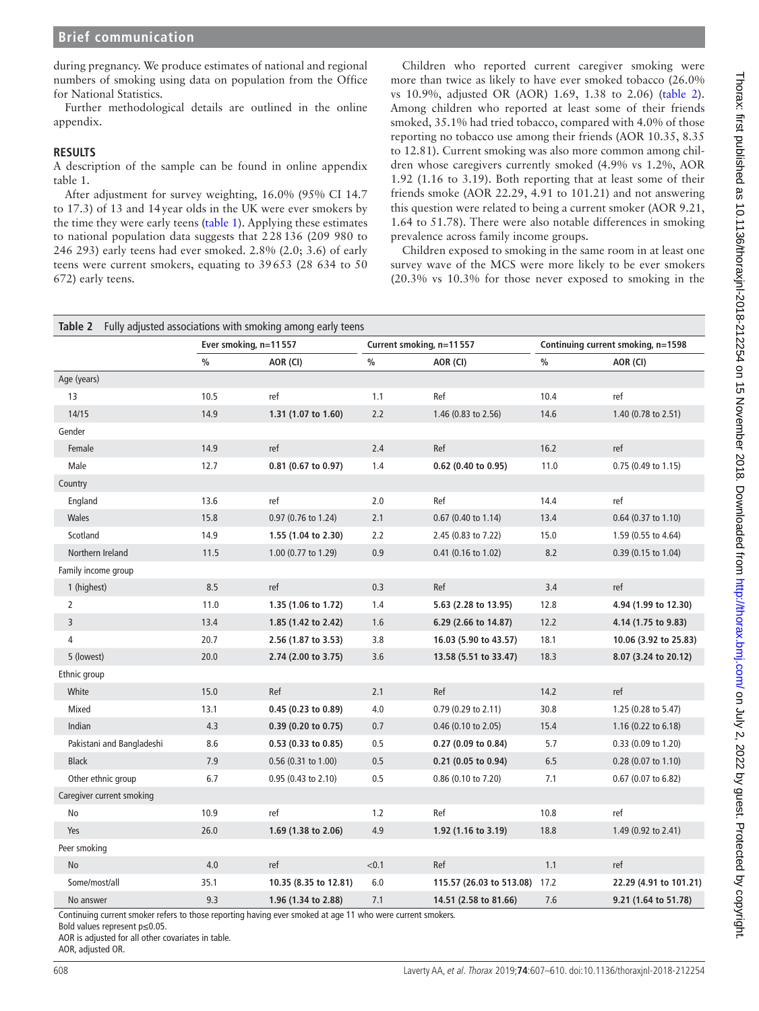during pregnancy. We produce estimates of national and regional numbers of smoking using data on population from the Office for National Statistics.

Further methodological details are outlined in the online [appendix.](https://dx.doi.org/10.1136/thoraxjnl-2018-212254)

#### **Results**

A description of the sample can be found in online [appendix](https://dx.doi.org/10.1136/thoraxjnl-2018-212254)  [table 1](https://dx.doi.org/10.1136/thoraxjnl-2018-212254).

After adjustment for survey weighting, 16.0% (95% CI 14.7 to 17.3) of 13 and 14year olds in the UK were ever smokers by the time they were early teens [\(table](#page-0-0) 1). Applying these estimates to national population data suggests that 228136 (209 980 to 246 293) early teens had ever smoked. 2.8% (2.0; 3.6) of early teens were current smokers, equating to 39653 (28 634 to 50 672) early teens.

Children who reported current caregiver smoking were more than twice as likely to have ever smoked tobacco (26.0% vs 10.9%, adjusted OR (AOR) 1.69, 1.38 to 2.06) [\(table](#page-1-0) 2). Among children who reported at least some of their friends smoked, 35.1% had tried tobacco, compared with 4.0% of those reporting no tobacco use among their friends (AOR 10.35, 8.35 to 12.81). Current smoking was also more common among children whose caregivers currently smoked (4.9% vs 1.2%, AOR 1.92 (1.16 to 3.19). Both reporting that at least some of their friends smoke (AOR 22.29, 4.91 to 101.21) and not answering this question were related to being a current smoker (AOR 9.21, 1.64 to 51.78). There were also notable differences in smoking prevalence across family income groups.

Children exposed to smoking in the same room in at least one survey wave of the MCS were more likely to be ever smokers (20.3% vs 10.3% for those never exposed to smoking in the

<span id="page-1-0"></span>

|                           | Ever smoking, n=11557 |                       | Current smoking, n=11557 |                               | Continuing current smoking, n=1598 |                        |
|---------------------------|-----------------------|-----------------------|--------------------------|-------------------------------|------------------------------------|------------------------|
|                           | $\frac{0}{0}$         | AOR (CI)              | $\%$                     | AOR (CI)                      | $\frac{0}{0}$                      | AOR (CI)               |
| Age (years)               |                       |                       |                          |                               |                                    |                        |
| 13                        | 10.5                  | ref                   | 1.1                      | Ref                           | 10.4                               | ref                    |
| 14/15                     | 14.9                  | 1.31 (1.07 to 1.60)   | 2.2                      | 1.46 (0.83 to 2.56)           | 14.6                               | 1.40 (0.78 to 2.51)    |
| Gender                    |                       |                       |                          |                               |                                    |                        |
| Female                    | 14.9                  | ref                   | 2.4                      | Ref                           | 16.2                               | ref                    |
| Male                      | 12.7                  | 0.81 (0.67 to 0.97)   | 1.4                      | 0.62 (0.40 to 0.95)           | 11.0                               | 0.75 (0.49 to 1.15)    |
| Country                   |                       |                       |                          |                               |                                    |                        |
| England                   | 13.6                  | ref                   | $2.0$                    | Ref                           | 14.4                               | ref                    |
| Wales                     | 15.8                  | 0.97 (0.76 to 1.24)   | 2.1                      | 0.67 (0.40 to 1.14)           | 13.4                               | $0.64$ (0.37 to 1.10)  |
| Scotland                  | 14.9                  | 1.55 (1.04 to 2.30)   | 2.2                      | 2.45 (0.83 to 7.22)           | 15.0                               | 1.59 (0.55 to 4.64)    |
| Northern Ireland          | 11.5                  | 1.00 (0.77 to 1.29)   | 0.9                      | $0.41$ (0.16 to 1.02)         | 8.2                                | 0.39 (0.15 to 1.04)    |
| Family income group       |                       |                       |                          |                               |                                    |                        |
| 1 (highest)               | 8.5                   | ref                   | 0.3                      | Ref                           | 3.4                                | ref                    |
| 2                         | 11.0                  | 1.35 (1.06 to 1.72)   | 1.4                      | 5.63 (2.28 to 13.95)          | 12.8                               | 4.94 (1.99 to 12.30)   |
| 3                         | 13.4                  | 1.85 (1.42 to 2.42)   | 1.6                      | 6.29 (2.66 to 14.87)          | 12.2                               | 4.14 (1.75 to 9.83)    |
| 4                         | 20.7                  | 2.56 (1.87 to 3.53)   | 3.8                      | 16.03 (5.90 to 43.57)         | 18.1                               | 10.06 (3.92 to 25.83)  |
| 5 (lowest)                | 20.0                  | 2.74 (2.00 to 3.75)   | 3.6                      | 13.58 (5.51 to 33.47)         | 18.3                               | 8.07 (3.24 to 20.12)   |
| Ethnic group              |                       |                       |                          |                               |                                    |                        |
| White                     | 15.0                  | Ref                   | 2.1                      | Ref                           | 14.2                               | ref                    |
| Mixed                     | 13.1                  | 0.45 (0.23 to 0.89)   | 4.0                      | 0.79 (0.29 to 2.11)           | 30.8                               | 1.25 (0.28 to 5.47)    |
| Indian                    | 4.3                   | 0.39 (0.20 to 0.75)   | 0.7                      | $0.46$ (0.10 to 2.05)         | 15.4                               | 1.16 (0.22 to 6.18)    |
| Pakistani and Bangladeshi | 8.6                   | 0.53 (0.33 to 0.85)   | 0.5                      | 0.27 (0.09 to 0.84)           | 5.7                                | 0.33 (0.09 to 1.20)    |
| <b>Black</b>              | 7.9                   | $0.56$ (0.31 to 1.00) | 0.5                      | 0.21 (0.05 to 0.94)           | 6.5                                | $0.28$ (0.07 to 1.10)  |
| Other ethnic group        | 6.7                   | 0.95 (0.43 to 2.10)   | 0.5                      | 0.86 (0.10 to 7.20)           | 7.1                                | 0.67 (0.07 to 6.82)    |
| Caregiver current smoking |                       |                       |                          |                               |                                    |                        |
| No                        | 10.9                  | ref                   | $1.2$                    | Ref                           | 10.8                               | ref                    |
| Yes                       | 26.0                  | 1.69 (1.38 to 2.06)   | 4.9                      | 1.92 (1.16 to 3.19)           | 18.8                               | 1.49 (0.92 to 2.41)    |
| Peer smoking              |                       |                       |                          |                               |                                    |                        |
| <b>No</b>                 | 4.0                   | ref                   | < 0.1                    | Ref                           | 1.1                                | ref                    |
| Some/most/all             | 35.1                  | 10.35 (8.35 to 12.81) | 6.0                      | 115.57 (26.03 to 513.08) 17.2 |                                    | 22.29 (4.91 to 101.21) |
| No answer                 | 9.3                   | 1.96 (1.34 to 2.88)   | 7.1                      | 14.51 (2.58 to 81.66)         | 7.6                                | 9.21 (1.64 to 51.78)   |

Continuing current smoker refers to those reporting having ever smoked at age 11 who were current smokers.

Bold values represent p≤0.05.

AOR is adjusted for all other covariates in table.

AOR, adjusted OR.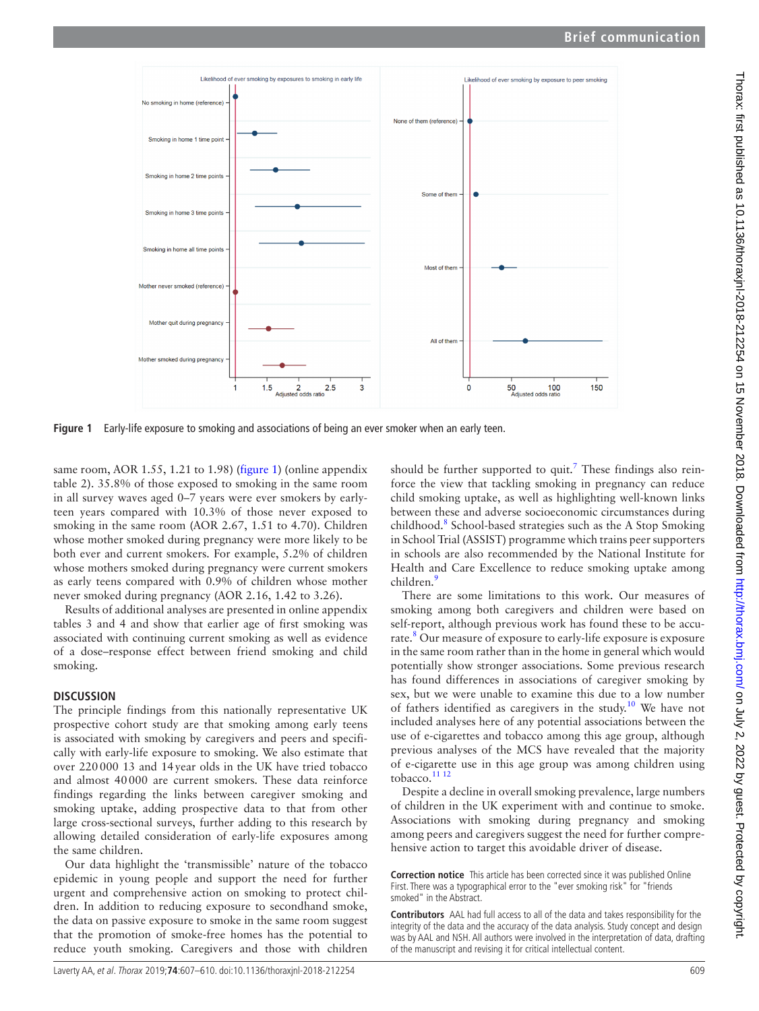

<span id="page-2-0"></span>**Figure 1** Early-life exposure to smoking and associations of being an ever smoker when an early teen.

same room, AOR 1.55, 1.21 to 1.98) [\(figure](#page-2-0) 1) (online appendix [table 2](https://dx.doi.org/10.1136/thoraxjnl-2018-212254)). 35.8% of those exposed to smoking in the same room in all survey waves aged 0–7 years were ever smokers by earlyteen years compared with 10.3% of those never exposed to smoking in the same room (AOR 2.67, 1.51 to 4.70). Children whose mother smoked during pregnancy were more likely to be both ever and current smokers. For example, 5.2% of children whose mothers smoked during pregnancy were current smokers as early teens compared with 0.9% of children whose mother never smoked during pregnancy (AOR 2.16, 1.42 to 3.26).

Results of additional analyses are presented in online [appendix](https://dx.doi.org/10.1136/thoraxjnl-2018-212254)  [tables 3 and 4](https://dx.doi.org/10.1136/thoraxjnl-2018-212254) and show that earlier age of first smoking was associated with continuing current smoking as well as evidence of a dose–response effect between friend smoking and child smoking.

#### **Discussion**

The principle findings from this nationally representative UK prospective cohort study are that smoking among early teens is associated with smoking by caregivers and peers and specifically with early-life exposure to smoking. We also estimate that over 220000 13 and 14year olds in the UK have tried tobacco and almost 40000 are current smokers. These data reinforce findings regarding the links between caregiver smoking and smoking uptake, adding prospective data to that from other large cross-sectional surveys, further adding to this research by allowing detailed consideration of early-life exposures among the same children.

Our data highlight the 'transmissible' nature of the tobacco epidemic in young people and support the need for further urgent and comprehensive action on smoking to protect children. In addition to reducing exposure to secondhand smoke, the data on passive exposure to smoke in the same room suggest that the promotion of smoke-free homes has the potential to reduce youth smoking. Caregivers and those with children

should be further supported to quit.<sup>[7](#page-3-6)</sup> These findings also reinforce the view that tackling smoking in pregnancy can reduce child smoking uptake, as well as highlighting well-known links between these and adverse socioeconomic circumstances during childhood.<sup>[8](#page-3-7)</sup> School-based strategies such as the A Stop Smoking in School Trial (ASSIST) programme which trains peer supporters in schools are also recommended by the National Institute for Health and Care Excellence to reduce smoking uptake among children.<sup>[9](#page-3-8)</sup>

There are some limitations to this work. Our measures of smoking among both caregivers and children were based on self-report, although previous work has found these to be accurate.<sup>8</sup> Our measure of exposure to early-life exposure is exposure in the same room rather than in the home in general which would potentially show stronger associations. Some previous research has found differences in associations of caregiver smoking by sex, but we were unable to examine this due to a low number of fathers identified as caregivers in the study.<sup>10</sup> We have not included analyses here of any potential associations between the use of e-cigarettes and tobacco among this age group, although previous analyses of the MCS have revealed that the majority of e-cigarette use in this age group was among children using tobacco. $1112$ 

Despite a decline in overall smoking prevalence, large numbers of children in the UK experiment with and continue to smoke. Associations with smoking during pregnancy and smoking among peers and caregivers suggest the need for further comprehensive action to target this avoidable driver of disease.

**Correction notice** This article has been corrected since it was published Online First. There was a typographical error to the "ever smoking risk" for "friends smoked" in the Abstract.

**Contributors** AAL had full access to all of the data and takes responsibility for the integrity of the data and the accuracy of the data analysis. Study concept and design was by AAL and NSH. All authors were involved in the interpretation of data, drafting of the manuscript and revising it for critical intellectual content.